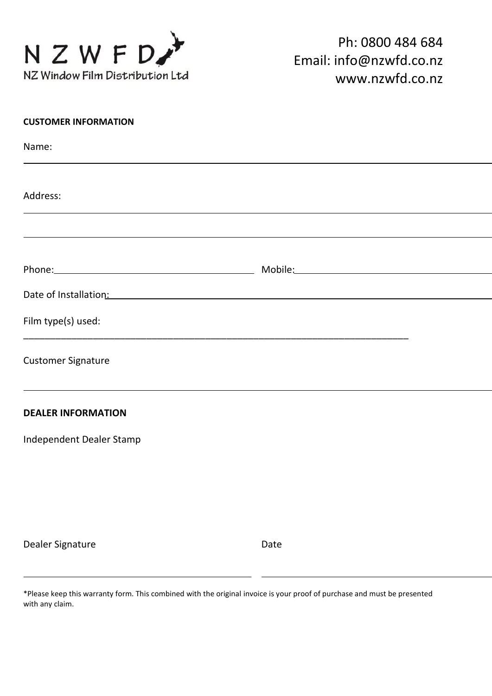

| <b>CUSTOMER INFORMATION</b>                                                                                                                                                                                                    |  |
|--------------------------------------------------------------------------------------------------------------------------------------------------------------------------------------------------------------------------------|--|
| Name:                                                                                                                                                                                                                          |  |
|                                                                                                                                                                                                                                |  |
| Address:                                                                                                                                                                                                                       |  |
|                                                                                                                                                                                                                                |  |
| Phone: Mobile: Mobile: Mobile: Mobile: Mobile: Mobile: Mobile: Mobile: Mobile: Mobile: Mobile: Mobile: Mobile: Mobile: Mobile: Mobile: Mobile: Mobile: Mobile: Mobile: Mobile: Mobile: Mobile: Mobile: Mobile: Mobile: Mobile: |  |
|                                                                                                                                                                                                                                |  |
| Date of Installation: Date of Installation:                                                                                                                                                                                    |  |
| Film type(s) used:                                                                                                                                                                                                             |  |
| <b>Customer Signature</b>                                                                                                                                                                                                      |  |
| <b>DEALER INFORMATION</b>                                                                                                                                                                                                      |  |
| Independent Dealer Stamp                                                                                                                                                                                                       |  |
|                                                                                                                                                                                                                                |  |
|                                                                                                                                                                                                                                |  |
|                                                                                                                                                                                                                                |  |
|                                                                                                                                                                                                                                |  |

Dealer Signature **Date** Date

\*Please keep this warranty form. This combined with the original invoice is your proof of purchase and must be presented with any claim.